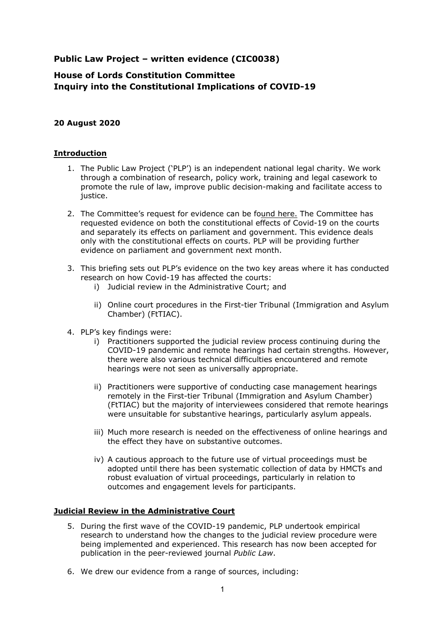## **Public Law Project – written evidence (CIC0038)**

# **House of Lords Constitution Committee Inquiry into the Constitutional Implications of COVID-19**

#### **20 August 2020**

#### **Introduction**

- 1. The Public Law Project ('PLP') is an independent national legal charity. We work through a combination of research, policy work, training and legal casework to promote the rule of law, improve public decision-making and facilitate access to justice.
- 2. The Committee's request for evidence can be found [here.](https://committees.parliament.uk/work/298/constitutional-implications-of-covid19/) The Committee has requested evidence on both the constitutional effects of Covid-19 on the courts and separately its effects on parliament and government. This evidence deals only with the constitutional effects on courts. PLP will be providing further evidence on parliament and government next month.
- 3. This briefing sets out PLP's evidence on the two key areas where it has conducted research on how Covid-19 has affected the courts:
	- i) Judicial review in the Administrative Court; and
	- ii) Online court procedures in the First-tier Tribunal (Immigration and Asylum Chamber) (FtTIAC).
- 4. PLP's key findings were:
	- i) Practitioners supported the judicial review process continuing during the COVID-19 pandemic and remote hearings had certain strengths. However, there were also various technical difficulties encountered and remote hearings were not seen as universally appropriate.
	- ii) Practitioners were supportive of conducting case management hearings remotely in the First-tier Tribunal (Immigration and Asylum Chamber) (FtTIAC) but the majority of interviewees considered that remote hearings were unsuitable for substantive hearings, particularly asylum appeals.
	- iii) Much more research is needed on the effectiveness of online hearings and the effect they have on substantive outcomes.
	- iv) A cautious approach to the future use of virtual proceedings must be adopted until there has been systematic collection of data by HMCTs and robust evaluation of virtual proceedings, particularly in relation to outcomes and engagement levels for participants.

#### **Judicial Review in the Administrative Court**

- 5. During the first wave of the COVID-19 pandemic, PLP undertook empirical research to understand how the changes to the judicial review procedure were being implemented and experienced. This research has now been accepted for publication in the peer-reviewed journal *Public Law*.
- 6. We drew our evidence from a range of sources, including: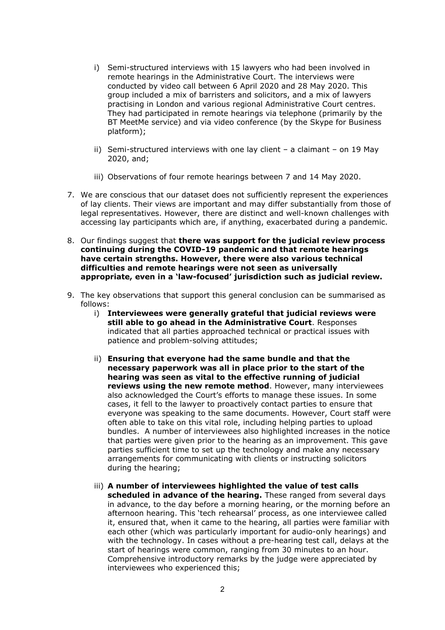- i) Semi-structured interviews with 15 lawyers who had been involved in remote hearings in the Administrative Court. The interviews were conducted by video call between 6 April 2020 and 28 May 2020. This group included a mix of barristers and solicitors, and a mix of lawyers practising in London and various regional Administrative Court centres. They had participated in remote hearings via telephone (primarily by the BT MeetMe service) and via video conference (by the Skype for Business platform);
- ii) Semi-structured interviews with one lay client a claimant on 19 May 2020, and;
- iii) Observations of four remote hearings between 7 and 14 May 2020.
- 7. We are conscious that our dataset does not sufficiently represent the experiences of lay clients. Their views are important and may differ substantially from those of legal representatives. However, there are distinct and well-known challenges with accessing lay participants which are, if anything, exacerbated during a pandemic.
- 8. Our findings suggest that **there was support for the judicial review process continuing during the COVID-19 pandemic and that remote hearings have certain strengths. However, there were also various technical difficulties and remote hearings were not seen as universally appropriate, even in a 'law-focused' jurisdiction such as judicial review.**
- 9. The key observations that support this general conclusion can be summarised as follows:
	- i) **Interviewees were generally grateful that judicial reviews were still able to go ahead in the Administrative Court**. Responses indicated that all parties approached technical or practical issues with patience and problem-solving attitudes;
	- ii) **Ensuring that everyone had the same bundle and that the necessary paperwork was all in place prior to the start of the hearing was seen as vital to the effective running of judicial reviews using the new remote method**. However, many interviewees also acknowledged the Court's efforts to manage these issues. In some cases, it fell to the lawyer to proactively contact parties to ensure that everyone was speaking to the same documents. However, Court staff were often able to take on this vital role, including helping parties to upload bundles. A number of interviewees also highlighted increases in the notice that parties were given prior to the hearing as an improvement. This gave parties sufficient time to set up the technology and make any necessary arrangements for communicating with clients or instructing solicitors during the hearing;
	- iii) **A number of interviewees highlighted the value of test calls scheduled in advance of the hearing.** These ranged from several days in advance, to the day before a morning hearing, or the morning before an afternoon hearing. This 'tech rehearsal' process, as one interviewee called it, ensured that, when it came to the hearing, all parties were familiar with each other (which was particularly important for audio-only hearings) and with the technology. In cases without a pre-hearing test call, delays at the start of hearings were common, ranging from 30 minutes to an hour. Comprehensive introductory remarks by the judge were appreciated by interviewees who experienced this;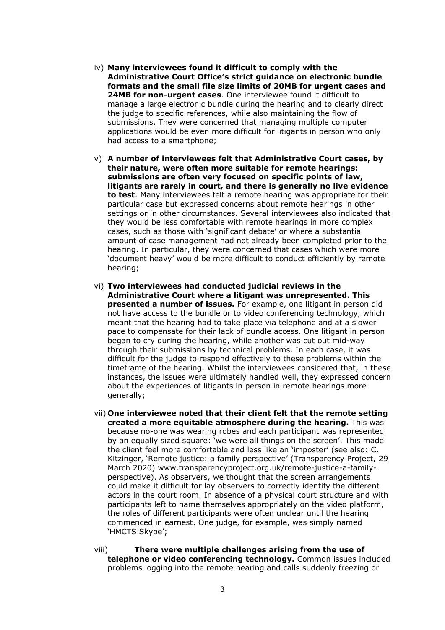- iv) **Many interviewees found it difficult to comply with the Administrative Court Office's strict guidance on electronic bundle formats and the small file size limits of 20MB for urgent cases and 24MB for non-urgent cases**. One interviewee found it difficult to manage a large electronic bundle during the hearing and to clearly direct the judge to specific references, while also maintaining the flow of submissions. They were concerned that managing multiple computer applications would be even more difficult for litigants in person who only had access to a smartphone;
- v) **A number of interviewees felt that Administrative Court cases, by their nature, were often more suitable for remote hearings: submissions are often very focused on specific points of law, litigants are rarely in court, and there is generally no live evidence to test**. Many interviewees felt a remote hearing was appropriate for their particular case but expressed concerns about remote hearings in other settings or in other circumstances. Several interviewees also indicated that they would be less comfortable with remote hearings in more complex cases, such as those with 'significant debate' or where a substantial amount of case management had not already been completed prior to the hearing. In particular, they were concerned that cases which were more 'document heavy' would be more difficult to conduct efficiently by remote hearing;
- vi) **Two interviewees had conducted judicial reviews in the Administrative Court where a litigant was unrepresented. This presented a number of issues.** For example, one litigant in person did not have access to the bundle or to video conferencing technology, which meant that the hearing had to take place via telephone and at a slower pace to compensate for their lack of bundle access. One litigant in person began to cry during the hearing, while another was cut out mid-way through their submissions by technical problems. In each case, it was difficult for the judge to respond effectively to these problems within the timeframe of the hearing. Whilst the interviewees considered that, in these instances, the issues were ultimately handled well, they expressed concern about the experiences of litigants in person in remote hearings more generally;
- vii) **One interviewee noted that their client felt that the remote setting created a more equitable atmosphere during the hearing.** This was because no-one was wearing robes and each participant was represented by an equally sized square: 'we were all things on the screen'. This made the client feel more comfortable and less like an 'imposter' (see also: C. Kitzinger, 'Remote justice: a family perspective' (Transparency Project, 29 March 2020) www.transparencyproject.org.uk/remote-justice-a-familyperspective). As observers, we thought that the screen arrangements could make it difficult for lay observers to correctly identify the different actors in the court room. In absence of a physical court structure and with participants left to name themselves appropriately on the video platform, the roles of different participants were often unclear until the hearing commenced in earnest. One judge, for example, was simply named 'HMCTS Skype';
- viii) **There were multiple challenges arising from the use of telephone or video conferencing technology.** Common issues included problems logging into the remote hearing and calls suddenly freezing or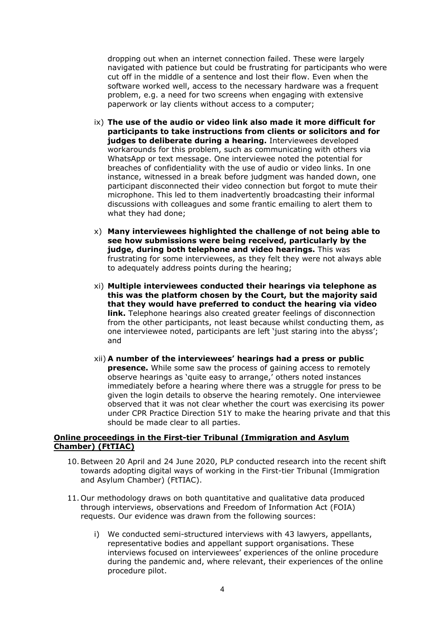dropping out when an internet connection failed. These were largely navigated with patience but could be frustrating for participants who were cut off in the middle of a sentence and lost their flow. Even when the software worked well, access to the necessary hardware was a frequent problem, e.g. a need for two screens when engaging with extensive paperwork or lay clients without access to a computer;

- ix) **The use of the audio or video link also made it more difficult for participants to take instructions from clients or solicitors and for judges to deliberate during a hearing.** Interviewees developed workarounds for this problem, such as communicating with others via WhatsApp or text message. One interviewee noted the potential for breaches of confidentiality with the use of audio or video links. In one instance, witnessed in a break before judgment was handed down, one participant disconnected their video connection but forgot to mute their microphone. This led to them inadvertently broadcasting their informal discussions with colleagues and some frantic emailing to alert them to what they had done;
- x) **Many interviewees highlighted the challenge of not being able to see how submissions were being received, particularly by the judge, during both telephone and video hearings.** This was frustrating for some interviewees, as they felt they were not always able to adequately address points during the hearing;
- xi) **Multiple interviewees conducted their hearings via telephone as this was the platform chosen by the Court, but the majority said that they would have preferred to conduct the hearing via video link.** Telephone hearings also created greater feelings of disconnection from the other participants, not least because whilst conducting them, as one interviewee noted, participants are left 'just staring into the abyss'; and
- xii) **A number of the interviewees' hearings had a press or public presence.** While some saw the process of gaining access to remotely observe hearings as 'quite easy to arrange,' others noted instances immediately before a hearing where there was a struggle for press to be given the login details to observe the hearing remotely. One interviewee observed that it was not clear whether the court was exercising its power under CPR Practice Direction 51Y to make the hearing private and that this should be made clear to all parties.

### **Online proceedings in the First-tier Tribunal (Immigration and Asylum Chamber) (FtTIAC)**

- 10.Between 20 April and 24 June 2020, PLP conducted research into the recent shift towards adopting digital ways of working in the First-tier Tribunal (Immigration and Asylum Chamber) (FtTIAC).
- 11. Our methodology draws on both quantitative and qualitative data produced through interviews, observations and Freedom of Information Act (FOIA) requests. Our evidence was drawn from the following sources:
	- i) We conducted semi-structured interviews with 43 lawyers, appellants, representative bodies and appellant support organisations. These interviews focused on interviewees' experiences of the online procedure during the pandemic and, where relevant, their experiences of the online procedure pilot.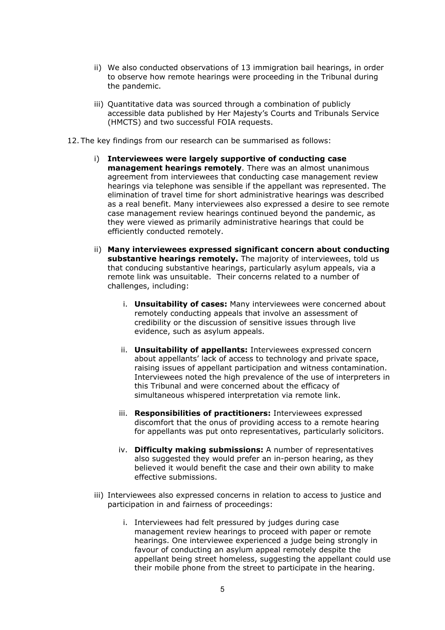- ii) We also conducted observations of 13 immigration bail hearings, in order to observe how remote hearings were proceeding in the Tribunal during the pandemic.
- iii) Quantitative data was sourced through a combination of publicly accessible data published by Her Majesty's Courts and Tribunals Service (HMCTS) and two successful FOIA requests.
- 12. The key findings from our research can be summarised as follows:
	- i) **Interviewees were largely supportive of conducting case management hearings remotely**. There was an almost unanimous agreement from interviewees that conducting case management review hearings via telephone was sensible if the appellant was represented. The elimination of travel time for short administrative hearings was described as a real benefit. Many interviewees also expressed a desire to see remote case management review hearings continued beyond the pandemic, as they were viewed as primarily administrative hearings that could be efficiently conducted remotely.
	- ii) **Many interviewees expressed significant concern about conducting substantive hearings remotely.** The majority of interviewees, told us that conducing substantive hearings, particularly asylum appeals, via a remote link was unsuitable. Their concerns related to a number of challenges, including:
		- i. **Unsuitability of cases:** Many interviewees were concerned about remotely conducting appeals that involve an assessment of credibility or the discussion of sensitive issues through live evidence, such as asylum appeals.
		- ii. **Unsuitability of appellants:** Interviewees expressed concern about appellants' lack of access to technology and private space, raising issues of appellant participation and witness contamination. Interviewees noted the high prevalence of the use of interpreters in this Tribunal and were concerned about the efficacy of simultaneous whispered interpretation via remote link.
		- iii. **Responsibilities of practitioners:** Interviewees expressed discomfort that the onus of providing access to a remote hearing for appellants was put onto representatives, particularly solicitors.
		- iv. **Difficulty making submissions:** A number of representatives also suggested they would prefer an in-person hearing, as they believed it would benefit the case and their own ability to make effective submissions.
	- iii) Interviewees also expressed concerns in relation to access to justice and participation in and fairness of proceedings:
		- i. Interviewees had felt pressured by judges during case management review hearings to proceed with paper or remote hearings. One interviewee experienced a judge being strongly in favour of conducting an asylum appeal remotely despite the appellant being street homeless, suggesting the appellant could use their mobile phone from the street to participate in the hearing.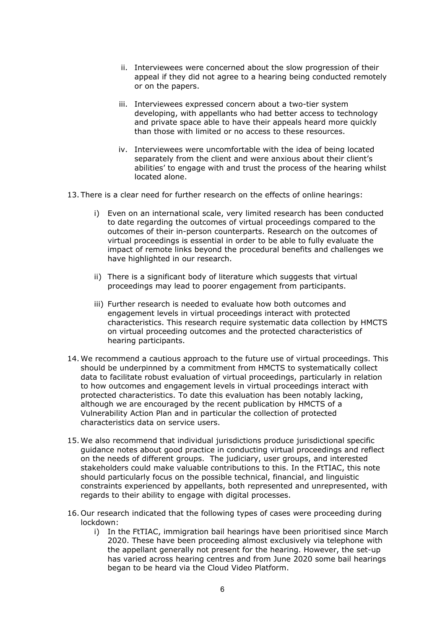- ii. Interviewees were concerned about the slow progression of their appeal if they did not agree to a hearing being conducted remotely or on the papers.
- iii. Interviewees expressed concern about a two-tier system developing, with appellants who had better access to technology and private space able to have their appeals heard more quickly than those with limited or no access to these resources.
- iv. Interviewees were uncomfortable with the idea of being located separately from the client and were anxious about their client's abilities' to engage with and trust the process of the hearing whilst located alone.
- 13. There is a clear need for further research on the effects of online hearings:
	- i) Even on an international scale, very limited research has been conducted to date regarding the outcomes of virtual proceedings compared to the outcomes of their in-person counterparts. Research on the outcomes of virtual proceedings is essential in order to be able to fully evaluate the impact of remote links beyond the procedural benefits and challenges we have highlighted in our research.
	- ii) There is a significant body of literature which suggests that virtual proceedings may lead to poorer engagement from participants.
	- iii) Further research is needed to evaluate how both outcomes and engagement levels in virtual proceedings interact with protected characteristics. This research require systematic data collection by HMCTS on virtual proceeding outcomes and the protected characteristics of hearing participants.
- 14. We recommend a cautious approach to the future use of virtual proceedings. This should be underpinned by a commitment from HMCTS to systematically collect data to facilitate robust evaluation of virtual proceedings, particularly in relation to how outcomes and engagement levels in virtual proceedings interact with protected characteristics. To date this evaluation has been notably lacking, although we are encouraged by the recent publication by HMCTS of a Vulnerability Action Plan and in particular the collection of protected characteristics data on service users.
- 15. We also recommend that individual jurisdictions produce jurisdictional specific guidance notes about good practice in conducting virtual proceedings and reflect on the needs of different groups. The judiciary, user groups, and interested stakeholders could make valuable contributions to this. In the FtTIAC, this note should particularly focus on the possible technical, financial, and linguistic constraints experienced by appellants, both represented and unrepresented, with regards to their ability to engage with digital processes.
- 16. Our research indicated that the following types of cases were proceeding during lockdown:
	- i) In the FtTIAC, immigration bail hearings have been prioritised since March 2020. These have been proceeding almost exclusively via telephone with the appellant generally not present for the hearing. However, the set-up has varied across hearing centres and from June 2020 some bail hearings began to be heard via the Cloud Video Platform.